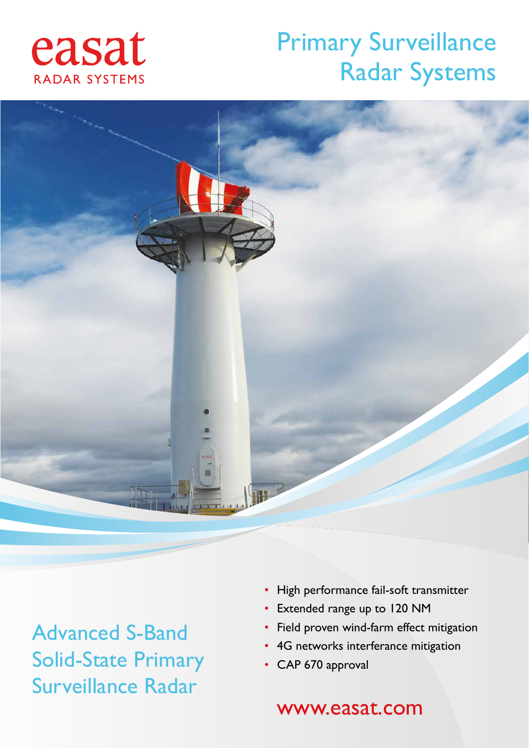## easat RADAR SYSTEMS

## Primary Surveillance Radar Systems



Advanced S-Band Solid-State Primary Surveillance Radar

- High performance fail-soft transmitter
- Extended range up to 120 NM
- Field proven wind-farm effect mitigation
- 4G networks interferance mitigation
- CAP 670 approval

### www.easat.com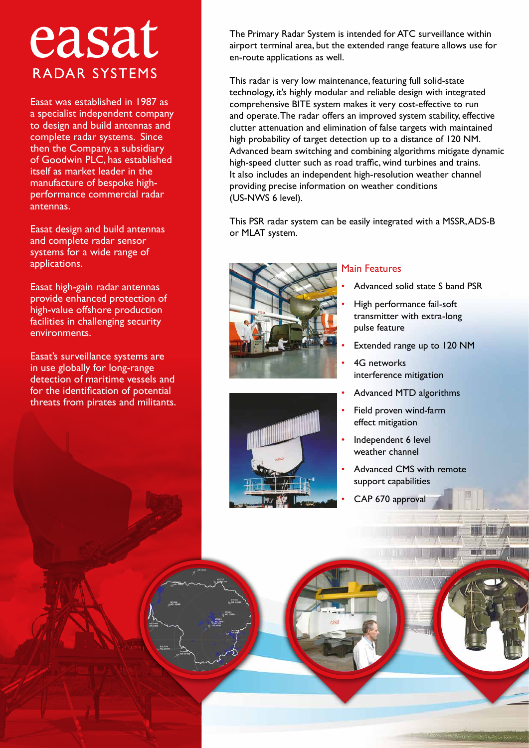## easat RADAR SYSTEMS

Easat was established in 1987 as a specialist independent company to design and build antennas and complete radar systems. Since then the Company, a subsidiary of Goodwin PLC, has established itself as market leader in the manufacture of bespoke highperformance commercial radar antennas.

Easat design and build antennas and complete radar sensor systems for a wide range of applications.

Easat high-gain radar antennas provide enhanced protection of high-value offshore production facilities in challenging security environments.

Easat's surveillance systems are in use globally for long-range detection of maritime vessels and for the identification of potential threats from pirates and militants.

The Primary Radar System is intended for ATC surveillance within airport terminal area, but the extended range feature allows use for en-route applications as well.

This radar is very low maintenance, featuring full solid-state technology, it's highly modular and reliable design with integrated comprehensive BITE system makes it very cost-effective to run and operate. The radar offers an improved system stability, effective clutter attenuation and elimination of false targets with maintained high probability of target detection up to a distance of 120 NM. Advanced beam switching and combining algorithms mitigate dynamic high-speed clutter such as road traffic, wind turbines and trains. It also includes an independent high-resolution weather channel providing precise information on weather conditions (US-NWS 6 level).

This PSR radar system can be easily integrated with a MSSR, ADS-B or MLAT system.



#### Main Features

- Advanced solid state S band PSR
- High performance fail-soft transmitter with extra-long pulse feature
- Extended range up to 120 NM
- 4G networks interference mitigation
- Advanced MTD algorithms
- Field proven wind-farm effect mitigation
- Independent 6 level weather channel
- Advanced CMS with remote support capabilities
- CAP 670 approval

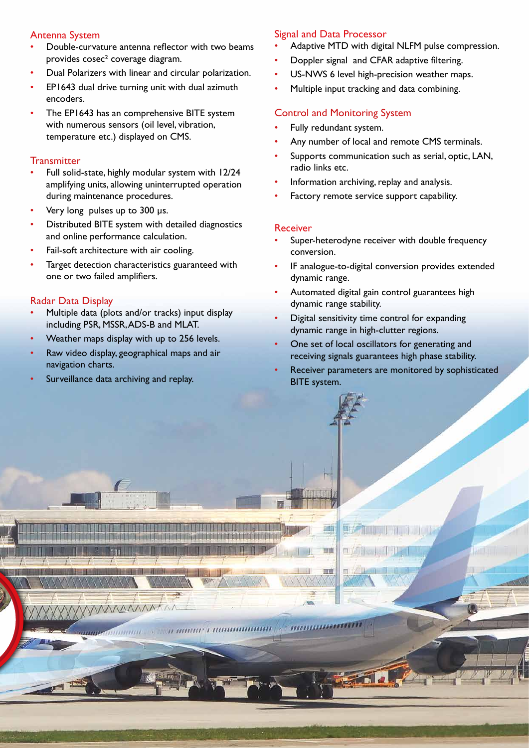#### Antenna System

- Double-curvature antenna reflector with two beams provides cosec² coverage diagram.
- Dual Polarizers with linear and circular polarization.
- EP1643 dual drive turning unit with dual azimuth encoders.
- The EP1643 has an comprehensive BITE system with numerous sensors (oil level, vibration, temperature etc.) displayed on CMS.

#### **Transmitter**

- Full solid-state, highly modular system with 12/24 amplifying units, allowing uninterrupted operation during maintenance procedures.
- Very long pulses up to 300 µs.
- Distributed BITE system with detailed diagnostics and online performance calculation.
- Fail-soft architecture with air cooling.
- Target detection characteristics guaranteed with one or two failed amplifiers.

#### Radar Data Display

- Multiple data (plots and/or tracks) input display including PSR, MSSR, ADS-B and MLAT.
- Weather maps display with up to 256 levels.
- Raw video display, geographical maps and air navigation charts.
- Surveillance data archiving and replay.

#### Signal and Data Processor

- Adaptive MTD with digital NLFM pulse compression.
- Doppler signal and CFAR adaptive filtering.
- US-NWS 6 level high-precision weather maps.
- Multiple input tracking and data combining.

#### Control and Monitoring System

- Fully redundant system.
- Any number of local and remote CMS terminals.
- Supports communication such as serial, optic, LAN, radio links etc.
- Information archiving, replay and analysis.
- Factory remote service support capability.

#### Receiver

<u>Nationalis nome muu</u>

a manar i maaamaanna

W

市南

,,,,,,

- Super-heterodyne receiver with double frequency conversion.
- IF analogue-to-digital conversion provides extended dynamic range.
- Automated digital gain control guarantees high dynamic range stability.
- Digital sensitivity time control for expanding dynamic range in high-clutter regions.
- One set of local oscillators for generating and receiving signals guarantees high phase stability.
- Receiver parameters are monitored by sophisticated BITE system.